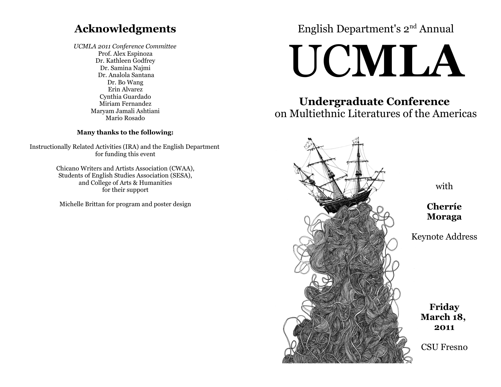# **Acknowledgments**

*UCMLA 2011 Conference Committee* Prof. Alex Espinoza Dr. Kathleen Godfrey Dr. Samina Najmi Dr. Analola Santana Dr. Bo Wang Erin Alvarez Cynthia Guardado Miriam Fernandez Maryam Jamali Ashtiani Mario Rosado

#### **Many thanks to the following:**

Instructionally Related Activities (IRA) and the English Department for funding this event

> Chicano Writers and Artists Association (CWAA), Students of English Studies Association (SESA), and College of Arts & Humanities for their support

Michelle Brittan for program and poster design

# English Department's 2nd Annual

# UC**MLA**

**Undergraduate Conference**  on Multiethnic Literatures of the Americas



with

**Cherríe Moraga**

Keynote Address

**Friday March 18, 2011**

CSU Fresno